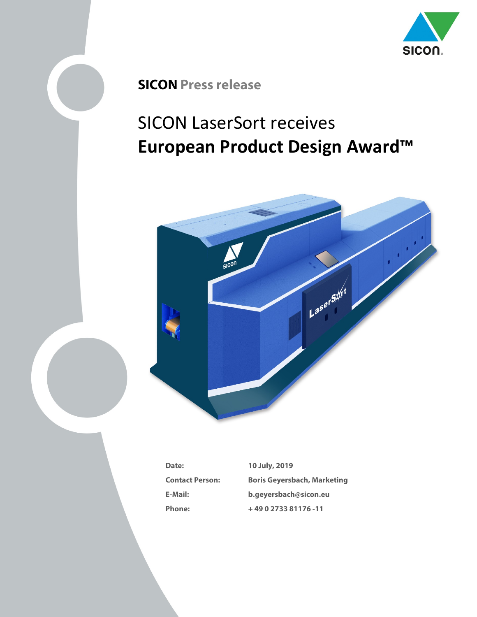

## **SICON Press release**

## SICON LaserSort receives **European Product Design Award™**



| Date:                  |
|------------------------|
| <b>Contact Person:</b> |
| E-Mail:                |
| Phone <sup>.</sup>     |

**Date: 10 July, 2019 Contact Person: Boris Geyersbach, Marketing E-Mail: b.geyersbach@sicon.eu Phone: + 49 0 2733 81176 -11**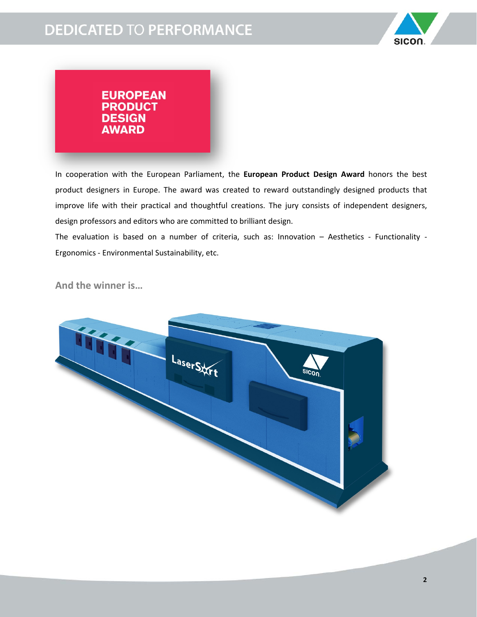

## **EUROPEAN PRODUCT DESIGN AWARD**

In cooperation with the European Parliament, the **European Product Design Award** honors the best product designers in Europe. The award was created to reward outstandingly designed products that improve life with their practical and thoughtful creations. The jury consists of independent designers, design professors and editors who are committed to brilliant design.

The evaluation is based on a number of criteria, such as: Innovation – Aesthetics - Functionality - Ergonomics - Environmental Sustainability, etc.

**And the winner is…**